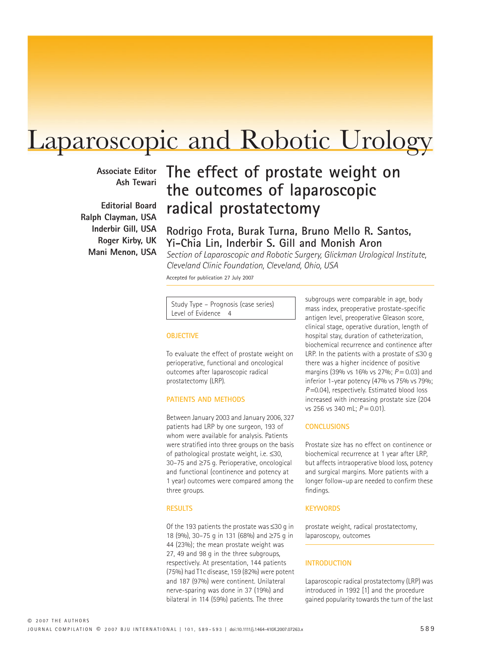# Laparoscopic and Robotic Urology

**Associate Editor Ash Tewari**

**Editorial Board Ralph Clayman, USA Inderbir Gill, USA Roger Kirby, UK Mani Menon, USA**

## **The effect of prostate weight on the outcomes of laparoscopic radical prostatectomy**

**Rodrigo Frota, Burak Turna, Bruno Mello R. Santos, Yi-Chia Lin, Inderbir S. Gill and Monish Aron**

*Section of Laparoscopic and Robotic Surgery, Glickman Urological Institute, Cleveland Clinic Foundation, Cleveland, Ohio, USA*

Accepted for publication 27 July 2007

Study Type – Prognosis (case series) Level of Evidence 4

#### **OBJECTIVE**

To evaluate the effect of prostate weight on perioperative, functional and oncological outcomes after laparoscopic radical prostatectomy (LRP).

### **PATIENTS AND METHODS**

Between January 2003 and January 2006, 327 patients had LRP by one surgeon, 193 of whom were available for analysis. Patients were stratified into three groups on the basis of pathological prostate weight, i.e. ≤30, 30–75 and ≥75 g. Perioperative, oncological and functional (continence and potency at 1 year) outcomes were compared among the three groups.

#### **RESULTS**

Of the 193 patients the prostate was ≤30 g in 18 (9%), 30–75 g in 131 (68%) and ≥75 g in 44 (23%); the mean prostate weight was 27, 49 and 98 g in the three subgroups, respectively. At presentation, 144 patients (75%) had T1c disease, 159 (82%) were potent and 187 (97%) were continent. Unilateral nerve-sparing was done in 37 (19%) and bilateral in 114 (59%) patients. The three

subgroups were comparable in age, body mass index, preoperative prostate-specific antigen level, preoperative Gleason score, clinical stage, operative duration, length of hospital stay, duration of catheterization, biochemical recurrence and continence after LRP. In the patients with a prostate of  $≤30 q$ there was a higher incidence of positive margins (39% vs 16% vs 27%; *P* = 0.03) and inferior 1-year potency (47% vs 75% vs 79%; *P* = 0.04), respectively. Estimated blood loss increased with increasing prostate size (204 vs 256 vs 340 mL; *P* = 0.01).

#### **CONCLUSIONS**

Prostate size has no effect on continence or biochemical recurrence at 1 year after LRP, but affects intraoperative blood loss, potency and surgical margins. More patients with a longer follow-up are needed to confirm these findings.

#### **KEYWORDS**

prostate weight, radical prostatectomy, laparoscopy, outcomes

#### **INTRODUCTION**

Laparoscopic radical prostatectomy (LRP) was introduced in 1992 [1] and the procedure gained popularity towards the turn of the last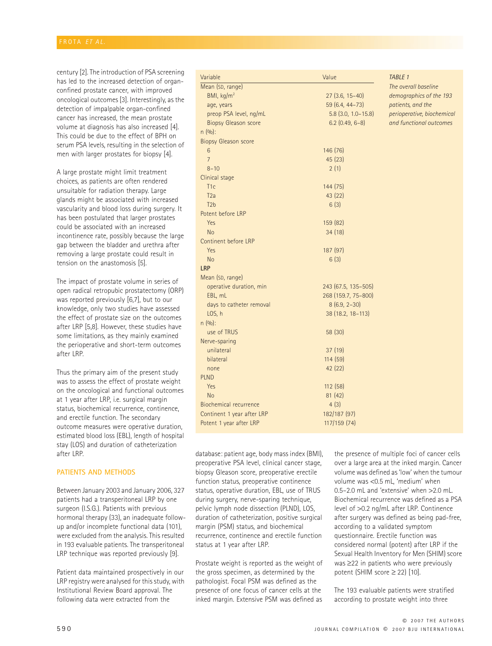century [2]. The introduction of PSA screening has led to the increased detection of organconfined prostate cancer, with improved oncological outcomes [3]. Interestingly, as the detection of impalpable organ-confined cancer has increased, the mean prostate volume at diagnosis has also increased [4]. This could be due to the effect of BPH on serum PSA levels, resulting in the selection of men with larger prostates for biopsy [4].

A large prostate might limit treatment choices, as patients are often rendered unsuitable for radiation therapy. Large glands might be associated with increased vascularity and blood loss during surgery. It has been postulated that larger prostates could be associated with an increased incontinence rate, possibly because the large gap between the bladder and urethra after removing a large prostate could result in tension on the anastomosis [5].

The impact of prostate volume in series of open radical retropubic prostatectomy (ORP) was reported previously [6,7], but to our knowledge, only two studies have assessed the effect of prostate size on the outcomes after LRP [5,8]. However, these studies have some limitations, as they mainly examined the perioperative and short-term outcomes after LRP.

Thus the primary aim of the present study was to assess the effect of prostate weight on the oncological and functional outcomes at 1 year after LRP, i.e. surgical margin status, biochemical recurrence, continence, and erectile function. The secondary outcome measures were operative duration, estimated blood loss (EBL), length of hospital stay (LOS) and duration of catheterization after LRP.

#### **PATIENTS AND METHODS**

Between January 2003 and January 2006, 327 patients had a transperitoneal LRP by one surgeon (I.S.G.). Patients with previous hormonal therapy (33), an inadequate followup and/or incomplete functional data (101), were excluded from the analysis. This resulted in 193 evaluable patients. The transperitoneal LRP technique was reported previously [9].

Patient data maintained prospectively in our LRP registry were analysed for this study, with Institutional Review Board approval. The following data were extracted from the

| Variable                      | Value                 | TABLE 1                    |
|-------------------------------|-----------------------|----------------------------|
| Mean (SD, range)              |                       | The overall baseline       |
| BMI, kg/m <sup>2</sup>        | $27(3.6, 15-40)$      | demographics of the 193    |
| age, years                    | 59 (6.4, 44-73)       | patients, and the          |
| preop PSA level, ng/mL        | $5.8$ (3.0, 1.0-15.8) | perioperative, biochemical |
| <b>Biopsy Gleason score</b>   | $6.2$ (0.49, 6-8)     | and functional outcomes    |
| $n(9/0)$ :                    |                       |                            |
| <b>Biopsy Gleason score</b>   |                       |                            |
| 6                             | 146 (76)              |                            |
| $\overline{7}$                | 45 (23)               |                            |
| $8 - 10$                      | 2(1)                  |                            |
| Clinical stage                |                       |                            |
| T1c                           | 144 (75)              |                            |
| T <sub>2a</sub>               | 43 (22)               |                            |
| T2 <sub>b</sub>               | 6(3)                  |                            |
| Potent before LRP             |                       |                            |
| Yes                           | 159 (82)              |                            |
| <b>No</b>                     | 34(18)                |                            |
| Continent before LRP          |                       |                            |
| Yes                           | 187 (97)              |                            |
| <b>No</b>                     | 6(3)                  |                            |
| <b>LRP</b>                    |                       |                            |
| Mean (SD, range)              |                       |                            |
| operative duration, min       | 243 (67.5, 135-505)   |                            |
| EBL, mL                       | 268 (159.7, 75-800)   |                            |
| days to catheter removal      | $8(6.9, 2-30)$        |                            |
| LOS, h                        | 38 (18.2, 18-113)     |                            |
| $n(9/0)$ :                    |                       |                            |
| use of TRUS                   | 58 (30)               |                            |
| Nerve-sparing                 |                       |                            |
| unilateral                    | 37(19)                |                            |
| bilateral                     | 114 (59)              |                            |
| none                          | 42 (22)               |                            |
| <b>PLND</b>                   |                       |                            |
| Yes                           | 112 (58)              |                            |
| <b>No</b>                     | 81(42)                |                            |
| <b>Biochemical recurrence</b> | 4(3)                  |                            |
| Continent 1 year after LRP    | 182/187 (97)          |                            |
| Potent 1 year after LRP       | 117/159 (74)          |                            |
|                               |                       |                            |

database: patient age, body mass index (BMI), preoperative PSA level, clinical cancer stage, biopsy Gleason score, preoperative erectile function status, preoperative continence status, operative duration, EBL, use of TRUS during surgery, nerve-sparing technique, pelvic lymph node dissection (PLND), LOS, duration of catheterization, positive surgical margin (PSM) status, and biochemical recurrence, continence and erectile function status at 1 year after LRP.

Prostate weight is reported as the weight of the gross specimen, as determined by the pathologist. Focal PSM was defined as the presence of one focus of cancer cells at the inked margin. Extensive PSM was defined as the presence of multiple foci of cancer cells over a large area at the inked margin. Cancer volume was defined as 'low' when the tumour volume was <0.5 mL, 'medium' when 0.5–2.0 mL and 'extensive' when >2.0 mL. Biochemical recurrence was defined as a PSA level of >0.2 ng/mL after LRP. Continence after surgery was defined as being pad-free, according to a validated symptom questionnaire. Erectile function was considered normal (potent) after LRP if the Sexual Health Inventory for Men (SHIM) score was ≥22 in patients who were previously potent (SHIM score  $\geq$  22) [10].

The 193 evaluable patients were stratified according to prostate weight into three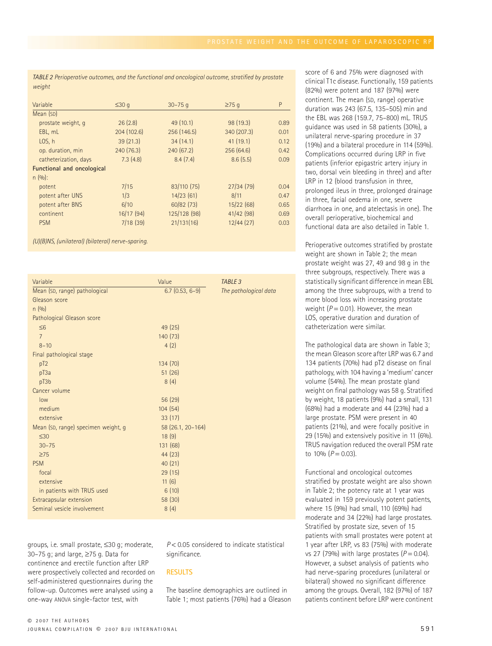*TABLE 2 Perioperative outcomes, and the functional and oncological outcome, stratified by prostate weight*

| Variable                          | $\leq 30$ q | $30 - 75q$   | $\geq$ 75 q | P    |
|-----------------------------------|-------------|--------------|-------------|------|
| Mean (SD)                         |             |              |             |      |
| prostate weight, g                | 26(2.8)     | 49(10.1)     | 98 (19.3)   | 0.89 |
| EBL, mL                           | 204(102.6)  | 256 (146.5)  | 340 (207.3) | 0.01 |
| LOS, h                            | 39(21.3)    | 34(14.1)     | 41(19.1)    | 0.12 |
| op. duration, min                 | 240(76.3)   | 240 (67.2)   | 256 (64.6)  | 0.42 |
| catheterization, days             | 7.3(4.8)    | 8.4(7.4)     | 8.6(5.5)    | 0.09 |
| <b>Functional and oncological</b> |             |              |             |      |
| $n(9/0)$ :                        |             |              |             |      |
| potent                            | 7/15        | 83/110 (75)  | 27/34(79)   | 0.04 |
| potent after UNS                  | 1/3         | 14/23(61)    | 8/11        | 0.47 |
| potent after BNS                  | 6/10        | 60/82(73)    | 15/22(68)   | 0.65 |
| continent                         | 16/17(94)   | 125/128 (98) | 41/42(98)   | 0.69 |
| <b>PSM</b>                        | 7/18(39)    | 21/131(16)   | 12/44(27)   | 0.03 |

*(U)(B)NS, (unilateral) (bilateral) nerve-sparing.*

| Variable                            | Value             | TABLE 3               |
|-------------------------------------|-------------------|-----------------------|
| Mean (SD, range) pathological       | $6.7(0.53, 6-9)$  | The pathological data |
| Gleason score                       |                   |                       |
| n(9/0)                              |                   |                       |
| Pathological Gleason score          |                   |                       |
| $\leq 6$                            | 49(25)            |                       |
| $\overline{7}$                      | 140 (73)          |                       |
| $8 - 10$                            | 4(2)              |                       |
| Final pathological stage            |                   |                       |
| pT2                                 | 134 (70)          |                       |
| pT3a                                | 51(26)            |                       |
| pT3b                                | 8(4)              |                       |
| Cancer volume                       |                   |                       |
| low                                 | 56 (29)           |                       |
| medium                              | 104(54)           |                       |
| extensive                           | 33(17)            |                       |
| Mean (SD, range) specimen weight, g | 58 (26.1, 20-164) |                       |
| $\leq 30$                           | 18(9)             |                       |
| $30 - 75$                           | 131 (68)          |                       |
| $\geq$ 75                           | 44 (23)           |                       |
| <b>PSM</b>                          | 40(21)            |                       |
| focal                               | 29(15)            |                       |
| extensive                           | 11(6)             |                       |
| in patients with TRUS used          | 6(10)             |                       |
| Extracapsular extension             | 58 (30)           |                       |
| Seminal vesicle involvement         | 8(4)              |                       |

groups, i.e. small prostate, ≤30 g; moderate, 30–75 g; and large, ≥75 g. Data for continence and erectile function after LRP were prospectively collected and recorded on self-administered questionnaires during the follow-up. Outcomes were analysed using a one-way ANOVA single-factor test, with

*P* < 0.05 considered to indicate statistical significance.

#### **RESULTS**

The baseline demographics are outlined in Table 1; most patients (76%) had a Gleason score of 6 and 75% were diagnosed with clinical T1c disease. Functionally, 159 patients (82%) were potent and 187 (97%) were continent. The mean (SD, range) operative duration was 243 (67.5, 135–505) min and the EBL was 268 (159.7, 75–800) mL. TRUS guidance was used in 58 patients (30%), a unilateral nerve-sparing procedure in 37 (19%) and a bilateral procedure in 114 (59%). Complications occurred during LRP in five patients (inferior epigastric artery injury in two, dorsal vein bleeding in three) and after LRP in 12 (blood transfusion in three, prolonged ileus in three, prolonged drainage in three, facial oedema in one, severe diarrhoea in one, and atelectasis in one). The overall perioperative, biochemical and functional data are also detailed in Table 1.

Perioperative outcomes stratified by prostate weight are shown in Table 2; the mean prostate weight was 27, 49 and 98 g in the three subgroups, respectively. There was a statistically significant difference in mean EBL among the three subgroups, with a trend to more blood loss with increasing prostate weight  $(P = 0.01)$ . However, the mean LOS, operative duration and duration of catheterization were similar.

The pathological data are shown in Table 3; the mean Gleason score after LRP was 6.7 and 134 patients (70%) had pT2 disease on final pathology, with 104 having a 'medium' cancer volume (54%). The mean prostate gland weight on final pathology was 58 g. Stratified by weight, 18 patients (9%) had a small, 131 (68%) had a moderate and 44 (23%) had a large prostate. PSM were present in 40 patients (21%), and were focally positive in 29 (15%) and extensively positive in 11 (6%). TRUS navigation reduced the overall PSM rate to  $10\%$   $(P = 0.03)$ .

Functional and oncological outcomes stratified by prostate weight are also shown in Table 2; the potency rate at 1 year was evaluated in 159 previously potent patients, where 15 (9%) had small, 110 (69%) had moderate and 34 (22%) had large prostates. Stratified by prostate size, seven of 15 patients with small prostates were potent at 1 year after LRP, vs 83 (75%) with moderate vs 27 (79%) with large prostates  $(P = 0.04)$ . However, a subset analysis of patients who had nerve-sparing procedures (unilateral or bilateral) showed no significant difference among the groups. Overall, 182 (97%) of 187 patients continent before LRP were continent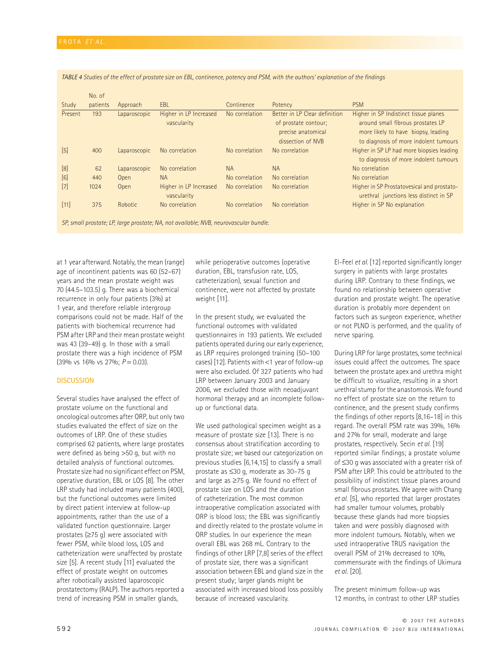|         | No. of   |              |                        |                |                               |                                            |
|---------|----------|--------------|------------------------|----------------|-------------------------------|--------------------------------------------|
| Study   | patients | Approach     | <b>EBL</b>             | Continence     | Potency                       | <b>PSM</b>                                 |
| Present | 193      | Laparoscopic | Higher in LP Increased | No correlation | Better in LP Clear definition | Higher in SP Indistinct tissue planes      |
|         |          |              | vascularity            |                | of prostate contour;          | around small fibrous prostates LP          |
|         |          |              |                        |                | precise anatomical            | more likely to have biopsy, leading        |
|         |          |              |                        |                | dissection of NVB             | to diagnosis of more indolent tumours      |
| $[5]$   | 400      | Laparoscopic | No correlation         | No correlation | No correlation                | Higher in SP LP had more biopsies leading  |
|         |          |              |                        |                |                               | to diagnosis of more indolent tumours      |
| $[8]$   | 62       | Laparoscopic | No correlation         | <b>NA</b>      | <b>NA</b>                     | No correlation                             |
| [6]     | 440      | Open         | <b>NA</b>              | No correlation | No correlation                | No correlation                             |
| $[7]$   | 1024     | Open         | Higher in LP Increased | No correlation | No correlation                | Higher in SP Prostatovesical and prostato- |
|         |          |              | vascularity            |                |                               | urethral junctions less distinct in SP     |
| $[11]$  | 375      | Robotic      | No correlation         | No correlation | No correlation                | Higher in SP No explanation                |
|         |          |              |                        |                |                               |                                            |

*TABLE 4 Studies of the effect of prostate size on EBL, continence, potency and PSM, with the authors' explanation of the findings*

*SP, small prostate; LP, large prostate; NA, not available; NVB, neurovascular bundle.*

at 1 year afterward. Notably, the mean (range) age of incontinent patients was 60 (52–67) years and the mean prostate weight was 70 (44.5–103.5) g. There was a biochemical recurrence in only four patients (3%) at 1 year, and therefore reliable intergroup comparisons could not be made. Half of the patients with biochemical recurrence had PSM after LRP and their mean prostate weight was 43 (39–49) g. In those with a small prostate there was a high incidence of PSM (39% vs 16% vs 27%; *P* = 0.03).

#### **DISCUSSION**

Several studies have analysed the effect of prostate volume on the functional and oncological outcomes after ORP, but only two studies evaluated the effect of size on the outcomes of LRP. One of these studies comprised 62 patients, where large prostates were defined as being >50 g, but with no detailed analysis of functional outcomes. Prostate size had no significant effect on PSM, operative duration, EBL or LOS [8]. The other LRP study had included many patients (400), but the functional outcomes were limited by direct patient interview at follow-up appointments, rather than the use of a validated function questionnaire. Larger prostates (≥75 g) were associated with fewer PSM, while blood loss, LOS and catheterization were unaffected by prostate size [5]. A recent study [11] evaluated the effect of prostate weight on outcomes after robotically assisted laparoscopic prostatectomy (RALP). The authors reported a trend of increasing PSM in smaller glands,

while perioperative outcomes (operative duration, EBL, transfusion rate, LOS, catheterization), sexual function and continence, were not affected by prostate weight [11].

In the present study, we evaluated the functional outcomes with validated questionnaires in 193 patients. We excluded patients operated during our early experience, as LRP requires prolonged training (50–100 cases) [12]. Patients with <1 year of follow-up were also excluded. Of 327 patients who had LRP between January 2003 and January 2006, we excluded those with neoadjuvant hormonal therapy and an incomplete followup or functional data.

We used pathological specimen weight as a measure of prostate size [13]. There is no consensus about stratification according to prostate size; we based our categorization on previous studies [6,14,15] to classify a small prostate as ≤30 g, moderate as 30–75 g and large as ≥75 g. We found no effect of prostate size on LOS and the duration of catheterization. The most common intraoperative complication associated with ORP is blood loss; the EBL was significantly and directly related to the prostate volume in ORP studies. In our experience the mean overall EBL was 268 mL. Contrary to the findings of other LRP [7,8] series of the effect of prostate size, there was a significant association between EBL and gland size in the present study; larger glands might be associated with increased blood loss possibly because of increased vascularity.

El-Feel *et al.* [12] reported significantly longer surgery in patients with large prostates during LRP. Contrary to these findings, we found no relationship between operative duration and prostate weight. The operative duration is probably more dependent on factors such as surgeon experience, whether or not PLND is performed, and the quality of nerve sparing.

During LRP for large prostates, some technical issues could affect the outcomes. The space between the prostate apex and urethra might be difficult to visualize, resulting in a short urethral stump for the anastomosis. We found no effect of prostate size on the return to continence, and the present study confirms the findings of other reports [8,16–18] in this regard. The overall PSM rate was 39%, 16% and 27% for small, moderate and large prostates, respectively. Secin *et al.* [19] reported similar findings; a prostate volume of ≤30 g was associated with a greater risk of PSM after LRP. This could be attributed to the possibility of indistinct tissue planes around small fibrous prostates. We agree with Chang *et al.* [5], who reported that larger prostates had smaller tumour volumes, probably because these glands had more biopsies taken and were possibly diagnosed with more indolent tumours. Notably, when we used intraoperative TRUS navigation the overall PSM of 21% decreased to 10%, commensurate with the findings of Ukimura *et al.* [20].

The present minimum follow-up was 12 months, in contrast to other LRP studies